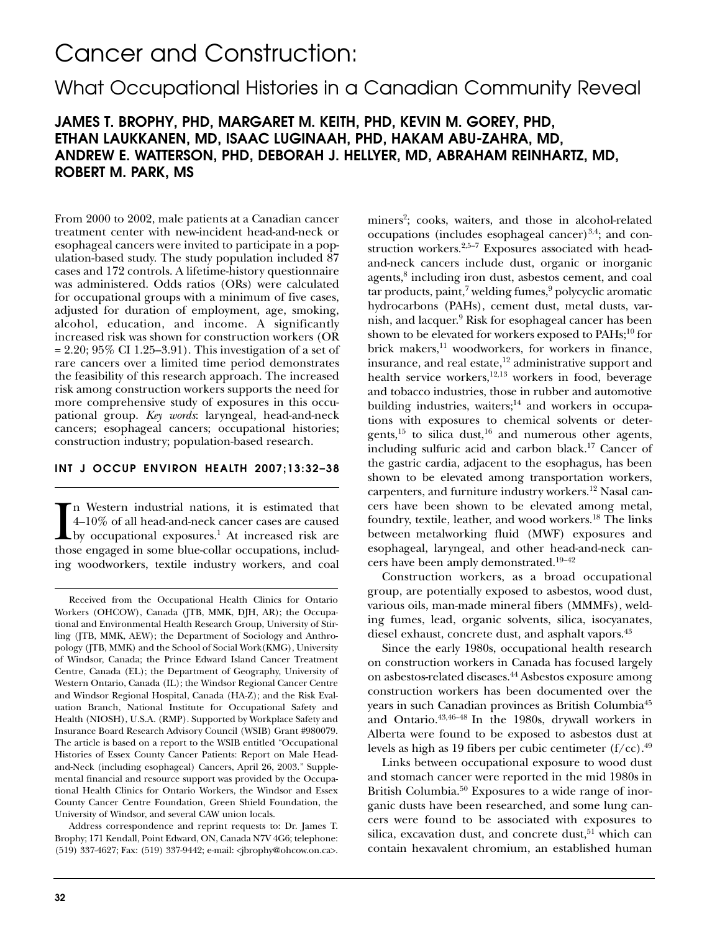# Cancer and Construction:

## What Occupational Histories in a Canadian Community Reveal

## **JAMES T. BROPHY, PHD, MARGARET M. KEITH, PHD, KEVIN M. GOREY, PHD, ETHAN LAUKKANEN, MD, ISAAC LUGINAAH, PHD, HAKAM ABU-ZAHRA, MD, ANDREW E. WATTERSON, PHD, DEBORAH J. HELLYER, MD, ABRAHAM REINHARTZ, MD, ROBERT M. PARK, MS**

From 2000 to 2002, male patients at a Canadian cancer treatment center with new-incident head-and-neck or esophageal cancers were invited to participate in a population-based study. The study population included 87 cases and 172 controls. A lifetime-history questionnaire was administered. Odds ratios (ORs) were calculated for occupational groups with a minimum of five cases, adjusted for duration of employment, age, smoking, alcohol, education, and income. A significantly increased risk was shown for construction workers (OR  $= 2.20$ ; 95% CI 1.25–3.91). This investigation of a set of rare cancers over a limited time period demonstrates the feasibility of this research approach. The increased risk among construction workers supports the need for more comprehensive study of exposures in this occupational group. *Key words*: laryngeal, head-and-neck cancers; esophageal cancers; occupational histories; construction industry; population-based research.

#### **INT J OCCUP ENVIRON HEALTH 2007;13:32–38**

In Western industrial nations, it is estimated that 4–10% of all head-and-neck cancer cases are caused by occupational exposures.<sup>1</sup> At increased risk are those engaged in some blue-collar occupations, includn Western industrial nations, it is estimated that 4–10% of all head-and-neck cancer cases are caused by occupational exposures.<sup>1</sup> At increased risk are ing woodworkers, textile industry workers, and coal

Address correspondence and reprint requests to: Dr. James T. Brophy; 171 Kendall, Point Edward, ON, Canada N7V 4G6; telephone: (519) 337-4627; Fax: (519) 337-9442; e-mail: <jbrophy@ohcow.on.ca>. miners<sup>2</sup>; cooks, waiters, and those in alcohol-related occupations (includes esophageal cancer) $3,4$ ; and construction workers.<sup>2,5-7</sup> Exposures associated with headand-neck cancers include dust, organic or inorganic agents,8 including iron dust, asbestos cement, and coal  $tar$  products, paint,<sup>7</sup> welding fumes, $9$  polycyclic aromatic hydrocarbons (PAHs), cement dust, metal dusts, varnish, and lacquer.9 Risk for esophageal cancer has been shown to be elevated for workers exposed to PAHs;<sup>10</sup> for brick makers,<sup>11</sup> woodworkers, for workers in finance, insurance, and real estate, $^{12}$  administrative support and health service workers,<sup>12,13</sup> workers in food, beverage and tobacco industries, those in rubber and automotive building industries, waiters;<sup>14</sup> and workers in occupations with exposures to chemical solvents or detergents,15 to silica dust,16 and numerous other agents, including sulfuric acid and carbon black.17 Cancer of the gastric cardia, adjacent to the esophagus, has been shown to be elevated among transportation workers, carpenters, and furniture industry workers.<sup>12</sup> Nasal cancers have been shown to be elevated among metal, foundry, textile, leather, and wood workers.18 The links between metalworking fluid (MWF) exposures and esophageal, laryngeal, and other head-and-neck cancers have been amply demonstrated.19–42

Construction workers, as a broad occupational group, are potentially exposed to asbestos, wood dust, various oils, man-made mineral fibers (MMMFs), welding fumes, lead, organic solvents, silica, isocyanates, diesel exhaust, concrete dust, and asphalt vapors.<sup>43</sup>

Since the early 1980s, occupational health research on construction workers in Canada has focused largely on asbestos-related diseases.44 Asbestos exposure among construction workers has been documented over the years in such Canadian provinces as British Columbia45 and Ontario.43,46–48 In the 1980s, drywall workers in Alberta were found to be exposed to asbestos dust at levels as high as 19 fibers per cubic centimeter  $(f/cc)$ .<sup>49</sup>

Links between occupational exposure to wood dust and stomach cancer were reported in the mid 1980s in British Columbia.<sup>50</sup> Exposures to a wide range of inorganic dusts have been researched, and some lung cancers were found to be associated with exposures to silica, excavation dust, and concrete dust,<sup>51</sup> which can contain hexavalent chromium, an established human

Received from the Occupational Health Clinics for Ontario Workers (OHCOW), Canada (JTB, MMK, DJH, AR); the Occupational and Environmental Health Research Group, University of Stirling (JTB, MMK, AEW); the Department of Sociology and Anthropology (JTB, MMK) and the School of Social Work(KMG), University of Windsor, Canada; the Prince Edward Island Cancer Treatment Centre, Canada (EL); the Department of Geography, University of Western Ontario, Canada (IL); the Windsor Regional Cancer Centre and Windsor Regional Hospital, Canada (HA-Z); and the Risk Evaluation Branch, National Institute for Occupational Safety and Health (NIOSH), U.S.A. (RMP). Supported by Workplace Safety and Insurance Board Research Advisory Council (WSIB) Grant #980079. The article is based on a report to the WSIB entitled "Occupational Histories of Essex County Cancer Patients: Report on Male Headand-Neck (including esophageal) Cancers, April 26, 2003." Supplemental financial and resource support was provided by the Occupational Health Clinics for Ontario Workers, the Windsor and Essex County Cancer Centre Foundation, Green Shield Foundation, the University of Windsor, and several CAW union locals.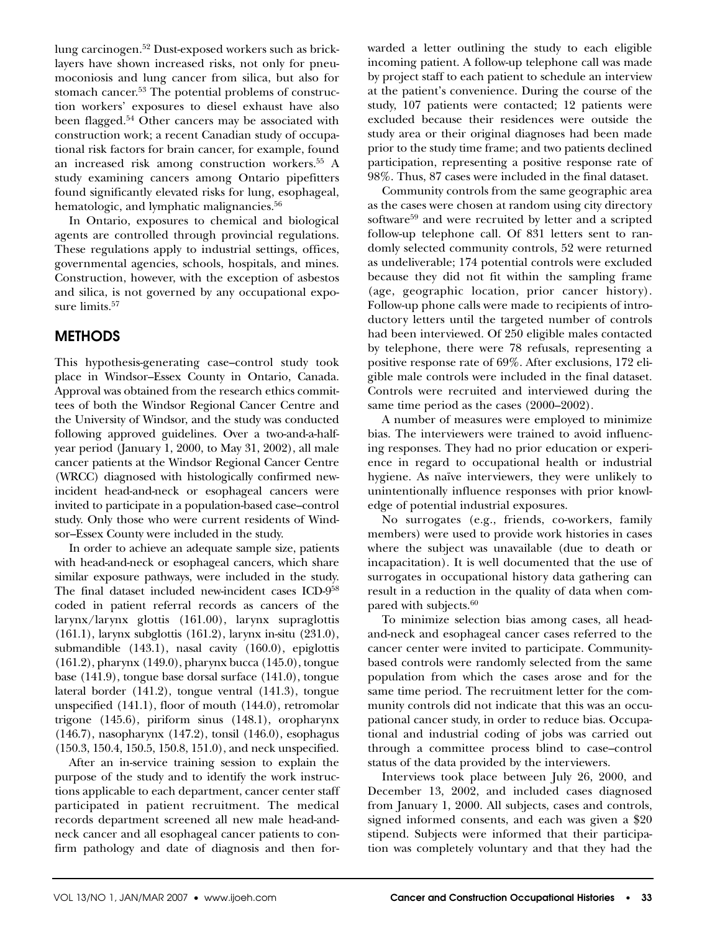lung carcinogen.52 Dust-exposed workers such as bricklayers have shown increased risks, not only for pneumoconiosis and lung cancer from silica, but also for stomach cancer.<sup>53</sup> The potential problems of construction workers' exposures to diesel exhaust have also been flagged.<sup>54</sup> Other cancers may be associated with construction work; a recent Canadian study of occupational risk factors for brain cancer, for example, found an increased risk among construction workers.55 A study examining cancers among Ontario pipefitters found significantly elevated risks for lung, esophageal, hematologic, and lymphatic malignancies.<sup>56</sup>

In Ontario, exposures to chemical and biological agents are controlled through provincial regulations. These regulations apply to industrial settings, offices, governmental agencies, schools, hospitals, and mines. Construction, however, with the exception of asbestos and silica, is not governed by any occupational exposure limits.<sup>57</sup>

## **METHODS**

This hypothesis-generating case–control study took place in Windsor–Essex County in Ontario, Canada. Approval was obtained from the research ethics committees of both the Windsor Regional Cancer Centre and the University of Windsor, and the study was conducted following approved guidelines. Over a two-and-a-halfyear period (January 1, 2000, to May 31, 2002), all male cancer patients at the Windsor Regional Cancer Centre (WRCC) diagnosed with histologically confirmed newincident head-and-neck or esophageal cancers were invited to participate in a population-based case–control study. Only those who were current residents of Windsor–Essex County were included in the study.

In order to achieve an adequate sample size, patients with head-and-neck or esophageal cancers, which share similar exposure pathways, were included in the study. The final dataset included new-incident cases ICD-958 coded in patient referral records as cancers of the larynx/larynx glottis (161.00), larynx supraglottis (161.1), larynx subglottis (161.2), larynx in-situ (231.0), submandible (143.1), nasal cavity (160.0), epiglottis (161.2), pharynx (149.0), pharynx bucca (145.0), tongue base (141.9), tongue base dorsal surface (141.0), tongue lateral border (141.2), tongue ventral (141.3), tongue unspecified (141.1), floor of mouth (144.0), retromolar trigone (145.6), piriform sinus (148.1), oropharynx (146.7), nasopharynx (147.2), tonsil (146.0), esophagus (150.3, 150.4, 150.5, 150.8, 151.0), and neck unspecified.

After an in-service training session to explain the purpose of the study and to identify the work instructions applicable to each department, cancer center staff participated in patient recruitment. The medical records department screened all new male head-andneck cancer and all esophageal cancer patients to confirm pathology and date of diagnosis and then forwarded a letter outlining the study to each eligible incoming patient. A follow-up telephone call was made by project staff to each patient to schedule an interview at the patient's convenience. During the course of the study, 107 patients were contacted; 12 patients were excluded because their residences were outside the study area or their original diagnoses had been made prior to the study time frame; and two patients declined participation, representing a positive response rate of 98%. Thus, 87 cases were included in the final dataset.

Community controls from the same geographic area as the cases were chosen at random using city directory software<sup>59</sup> and were recruited by letter and a scripted follow-up telephone call. Of 831 letters sent to randomly selected community controls, 52 were returned as undeliverable; 174 potential controls were excluded because they did not fit within the sampling frame (age, geographic location, prior cancer history). Follow-up phone calls were made to recipients of introductory letters until the targeted number of controls had been interviewed. Of 250 eligible males contacted by telephone, there were 78 refusals, representing a positive response rate of 69%. After exclusions, 172 eligible male controls were included in the final dataset. Controls were recruited and interviewed during the same time period as the cases  $(2000-2002)$ .

A number of measures were employed to minimize bias. The interviewers were trained to avoid influencing responses. They had no prior education or experience in regard to occupational health or industrial hygiene. As naïve interviewers, they were unlikely to unintentionally influence responses with prior knowledge of potential industrial exposures.

No surrogates (e.g., friends, co-workers, family members) were used to provide work histories in cases where the subject was unavailable (due to death or incapacitation). It is well documented that the use of surrogates in occupational history data gathering can result in a reduction in the quality of data when compared with subjects.<sup>60</sup>

To minimize selection bias among cases, all headand-neck and esophageal cancer cases referred to the cancer center were invited to participate. Communitybased controls were randomly selected from the same population from which the cases arose and for the same time period. The recruitment letter for the community controls did not indicate that this was an occupational cancer study, in order to reduce bias. Occupational and industrial coding of jobs was carried out through a committee process blind to case–control status of the data provided by the interviewers.

Interviews took place between July 26, 2000, and December 13, 2002, and included cases diagnosed from January 1, 2000. All subjects, cases and controls, signed informed consents, and each was given a \$20 stipend. Subjects were informed that their participation was completely voluntary and that they had the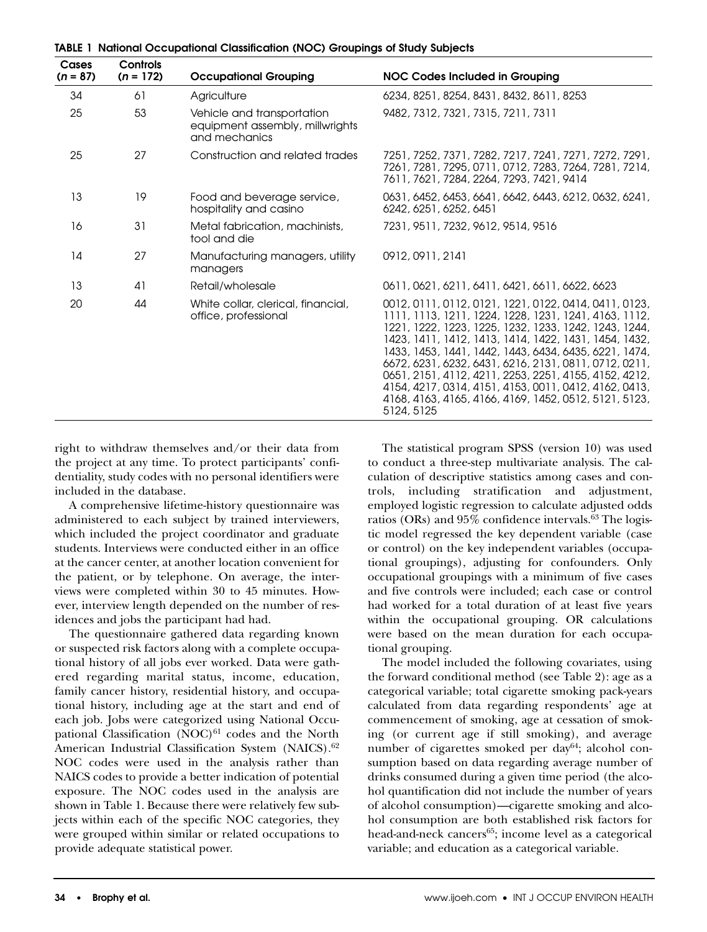| Cases<br>$(n = 87)$ | Controls<br>$(n = 172)$ | <b>Occupational Grouping</b>                                                   | <b>NOC Codes Included in Grouping</b>                                                                                                                                                                                                                                                                                                                                                                                                                                                                                                       |
|---------------------|-------------------------|--------------------------------------------------------------------------------|---------------------------------------------------------------------------------------------------------------------------------------------------------------------------------------------------------------------------------------------------------------------------------------------------------------------------------------------------------------------------------------------------------------------------------------------------------------------------------------------------------------------------------------------|
| 34                  | 61                      | Agriculture                                                                    | 6234, 8251, 8254, 8431, 8432, 8611, 8253                                                                                                                                                                                                                                                                                                                                                                                                                                                                                                    |
| 25                  | 53                      | Vehicle and transportation<br>equipment assembly, millwrights<br>and mechanics | 9482, 7312, 7321, 7315, 7211, 7311                                                                                                                                                                                                                                                                                                                                                                                                                                                                                                          |
| 25                  | 27                      | Construction and related trades                                                | 7251, 7252, 7371, 7282, 7217, 7241, 7271, 7272, 7291,<br>7261, 7281, 7295, 0711, 0712, 7283, 7264, 7281, 7214,<br>7611, 7621, 7284, 2264, 7293, 7421, 9414                                                                                                                                                                                                                                                                                                                                                                                  |
| 13                  | 19                      | Food and beverage service,<br>hospitality and casino                           | 0631, 6452, 6453, 6641, 6642, 6443, 6212, 0632, 6241,<br>6242, 6251, 6252, 6451                                                                                                                                                                                                                                                                                                                                                                                                                                                             |
| 16                  | 31                      | Metal fabrication, machinists,<br>tool and die                                 | 7231, 9511, 7232, 9612, 9514, 9516                                                                                                                                                                                                                                                                                                                                                                                                                                                                                                          |
| 14                  | 27                      | Manufacturing managers, utility<br>managers                                    | 0912, 0911, 2141                                                                                                                                                                                                                                                                                                                                                                                                                                                                                                                            |
| 13                  | 41                      | Retail/wholesale                                                               | 0611, 0621, 6211, 6411, 6421, 6611, 6622, 6623                                                                                                                                                                                                                                                                                                                                                                                                                                                                                              |
| 20                  | 44                      | White collar, clerical, financial,<br>office, professional                     | 0012, 0111, 0112, 0121, 1221, 0122, 0414, 0411, 0123,<br>1111, 1113, 1211, 1224, 1228, 1231, 1241, 4163, 1112,<br>1221, 1222, 1223, 1225, 1232, 1233, 1242, 1243, 1244,<br>1423, 1411, 1412, 1413, 1414, 1422, 1431, 1454, 1432,<br>1433, 1453, 1441, 1442, 1443, 6434, 6435, 6221, 1474,<br>6672, 6231, 6232, 6431, 6216, 2131, 0811, 0712, 0211,<br>0651, 2151, 4112, 4211, 2253, 2251, 4155, 4152, 4212,<br>4154, 4217, 0314, 4151, 4153, 0011, 0412, 4162, 0413,<br>4168, 4163, 4165, 4166, 4169, 1452, 0512, 5121, 5123,<br>5124, 5125 |

**TABLE 1 National Occupational Classification (NOC) Groupings of Study Subjects**

right to withdraw themselves and/or their data from the project at any time. To protect participants' confidentiality, study codes with no personal identifiers were included in the database.

A comprehensive lifetime-history questionnaire was administered to each subject by trained interviewers, which included the project coordinator and graduate students. Interviews were conducted either in an office at the cancer center, at another location convenient for the patient, or by telephone. On average, the interviews were completed within 30 to 45 minutes. However, interview length depended on the number of residences and jobs the participant had had.

The questionnaire gathered data regarding known or suspected risk factors along with a complete occupational history of all jobs ever worked. Data were gathered regarding marital status, income, education, family cancer history, residential history, and occupational history, including age at the start and end of each job. Jobs were categorized using National Occupational Classification  $(NOC)^{61}$  codes and the North American Industrial Classification System (NAICS).<sup>62</sup> NOC codes were used in the analysis rather than NAICS codes to provide a better indication of potential exposure. The NOC codes used in the analysis are shown in Table 1. Because there were relatively few subjects within each of the specific NOC categories, they were grouped within similar or related occupations to provide adequate statistical power.

The statistical program SPSS (version 10) was used to conduct a three-step multivariate analysis. The calculation of descriptive statistics among cases and controls, including stratification and adjustment, employed logistic regression to calculate adjusted odds ratios (ORs) and 95% confidence intervals.<sup>63</sup> The logistic model regressed the key dependent variable (case or control) on the key independent variables (occupational groupings), adjusting for confounders. Only occupational groupings with a minimum of five cases and five controls were included; each case or control had worked for a total duration of at least five years within the occupational grouping. OR calculations were based on the mean duration for each occupational grouping.

The model included the following covariates, using the forward conditional method (see Table 2): age as a categorical variable; total cigarette smoking pack-years calculated from data regarding respondents' age at commencement of smoking, age at cessation of smoking (or current age if still smoking), and average number of cigarettes smoked per day<sup>64</sup>; alcohol consumption based on data regarding average number of drinks consumed during a given time period (the alcohol quantification did not include the number of years of alcohol consumption)—cigarette smoking and alcohol consumption are both established risk factors for head-and-neck cancers<sup>65</sup>; income level as a categorical variable; and education as a categorical variable.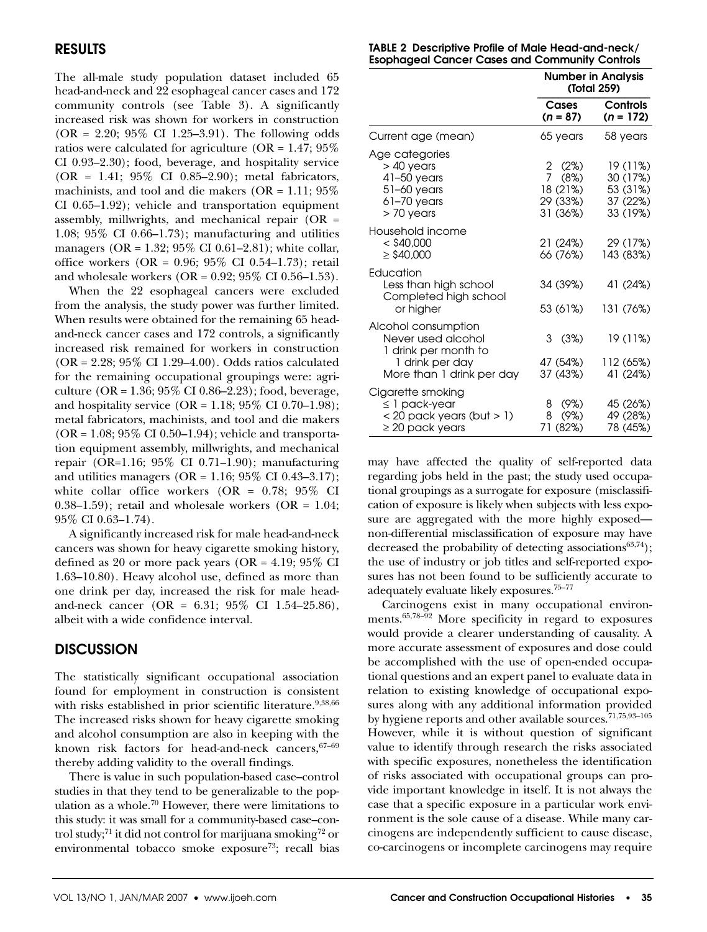## **RESULTS**

The all-male study population dataset included 65 head-and-neck and 22 esophageal cancer cases and 172 community controls (see Table 3). A significantly increased risk was shown for workers in construction  $(OR = 2.20; 95\% \text{ CI } 1.25-3.91)$ . The following odds ratios were calculated for agriculture ( $OR = 1.47$ ;  $95\%$ CI 0.93–2.30); food, beverage, and hospitality service (OR = 1.41; 95% CI 0.85–2.90); metal fabricators, machinists, and tool and die makers (OR =  $1.11$ ;  $95\%$ CI 0.65–1.92); vehicle and transportation equipment assembly, millwrights, and mechanical repair (OR = 1.08; 95% CI 0.66–1.73); manufacturing and utilities managers (OR =  $1.32$ ;  $95\%$  CI 0.61-2.81); white collar, office workers (OR = 0.96; 95% CI 0.54–1.73); retail and wholesale workers (OR = 0.92; 95% CI 0.56–1.53).

When the 22 esophageal cancers were excluded from the analysis, the study power was further limited. When results were obtained for the remaining 65 headand-neck cancer cases and 172 controls, a significantly increased risk remained for workers in construction (OR = 2.28; 95% CI 1.29–4.00). Odds ratios calculated for the remaining occupational groupings were: agriculture (OR = 1.36;  $95\%$  CI 0.86–2.23); food, beverage, and hospitality service  $(OR = 1.18; 95\% \text{ CI } 0.70-1.98);$ metal fabricators, machinists, and tool and die makers  $(OR = 1.08; 95\% \text{ CI } 0.50-1.94)$ ; vehicle and transportation equipment assembly, millwrights, and mechanical repair (OR=1.16;  $95\%$  CI 0.71–1.90); manufacturing and utilities managers (OR =  $1.16$ ; 95% CI 0.43-3.17); white collar office workers  $(OR = 0.78; 95\% \text{ CI})$  $(0.38-1.59)$ ; retail and wholesale workers  $(OR = 1.04;$ 95% CI 0.63–1.74).

A significantly increased risk for male head-and-neck cancers was shown for heavy cigarette smoking history, defined as 20 or more pack years (OR =  $4.19$ ;  $95\%$  CI 1.63–10.80). Heavy alcohol use, defined as more than one drink per day, increased the risk for male headand-neck cancer (OR = 6.31; 95% CI 1.54–25.86), albeit with a wide confidence interval.

### **DISCUSSION**

The statistically significant occupational association found for employment in construction is consistent with risks established in prior scientific literature.<sup>9,38,66</sup> The increased risks shown for heavy cigarette smoking and alcohol consumption are also in keeping with the known risk factors for head-and-neck cancers,  $67-69$ thereby adding validity to the overall findings.

There is value in such population-based case–control studies in that they tend to be generalizable to the population as a whole.<sup>70</sup> However, there were limitations to this study: it was small for a community-based case–control study;<sup>71</sup> it did not control for marijuana smoking<sup>72</sup> or environmental tobacco smoke exposure<sup>73</sup>; recall bias

| TABLE 2 Descriptive Profile of Male Head-and-neck/    |  |  |
|-------------------------------------------------------|--|--|
| <b>Esophageal Cancer Cases and Community Controls</b> |  |  |

|                                                                                                                   | <b>Number in Analysis</b><br>(Total 259)                            |                                                          |  |
|-------------------------------------------------------------------------------------------------------------------|---------------------------------------------------------------------|----------------------------------------------------------|--|
|                                                                                                                   | Cases<br>$(n = 87)$                                                 | <b>Controls</b><br>$(n = 172)$                           |  |
| Current age (mean)                                                                                                | 65 years                                                            | 58 years                                                 |  |
| Age categories<br>$>$ 40 years<br>$41-50$ years<br>$51-60$ years<br>$61-70$ years<br>$> 70$ years                 | 2(2%)<br>$\overline{7}$<br>(8%)<br>18 (21%)<br>29 (33%)<br>31 (36%) | 19 (11%)<br>30 (17%)<br>53 (31%)<br>37 (22%)<br>33 (19%) |  |
| Household income<br>$<$ \$40,000<br>$\geq$ \$40,000                                                               | 21 (24%)<br>66 (76%)                                                | 29 (17%)<br>143 (83%)                                    |  |
| Education<br>Less than high school<br>Completed high school<br>or higher                                          | 34 (39%)<br>53 (61%)                                                | 41 (24%)<br>131 (76%)                                    |  |
| Alcohol consumption<br>Never used alcohol<br>1 drink per month to<br>1 drink per day<br>More than 1 drink per day | 3<br>(3%)<br>47 (54%)<br>37 (43%)                                   | 19 (11%)<br>112 (65%)<br>41 (24%)                        |  |
| Cigarette smoking<br>$\leq$ 1 pack-year<br>$<$ 20 pack years (but $>$ 1)<br>$\geq$ 20 pack years                  | 8 (9%)<br>(9%)<br>8<br>71 (82%)                                     | 45 (26%)<br>49 (28%)<br>78 (45%)                         |  |

may have affected the quality of self-reported data regarding jobs held in the past; the study used occupational groupings as a surrogate for exposure (misclassification of exposure is likely when subjects with less exposure are aggregated with the more highly exposed non-differential misclassification of exposure may have decreased the probability of detecting associations $63,74$ ); the use of industry or job titles and self-reported exposures has not been found to be sufficiently accurate to adequately evaluate likely exposures.75–77

Carcinogens exist in many occupational environments.65,78–92 More specificity in regard to exposures would provide a clearer understanding of causality. A more accurate assessment of exposures and dose could be accomplished with the use of open-ended occupational questions and an expert panel to evaluate data in relation to existing knowledge of occupational exposures along with any additional information provided by hygiene reports and other available sources.<sup>71,75,93-105</sup> However, while it is without question of significant value to identify through research the risks associated with specific exposures, nonetheless the identification of risks associated with occupational groups can provide important knowledge in itself. It is not always the case that a specific exposure in a particular work environment is the sole cause of a disease. While many carcinogens are independently sufficient to cause disease, co-carcinogens or incomplete carcinogens may require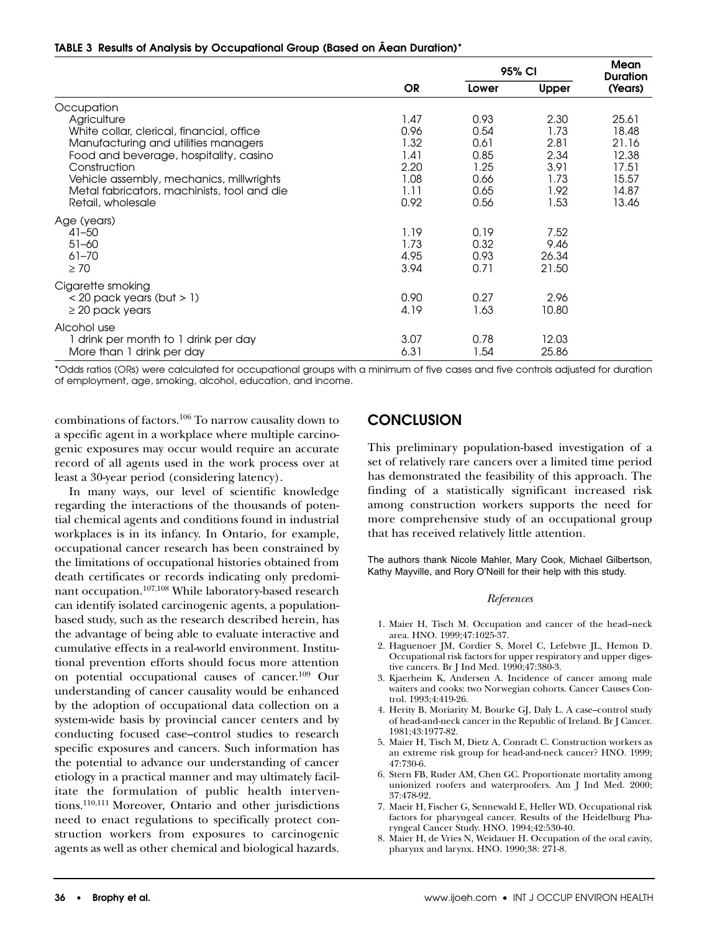#### **TABLE 3 Results of Analysis by Occupational Group (Based on Âean Duration)\***

|                                             | <b>OR</b> | 95% CI |       | <b>Mean</b><br><b>Duration</b> |
|---------------------------------------------|-----------|--------|-------|--------------------------------|
|                                             |           | Lower  | Upper | (Years)                        |
| Occupation                                  |           |        |       |                                |
| Agriculture                                 | 1.47      | 0.93   | 2.30  | 25.61                          |
| White collar, clerical, financial, office   | 0.96      | 0.54   | 1.73  | 18.48                          |
| Manufacturing and utilities managers        | 1.32      | 0.61   | 2.81  | 21.16                          |
| Food and beverage, hospitality, casino      | 1.41      | 0.85   | 2.34  | 12.38                          |
| Construction                                | 2.20      | 1.25   | 3.91  | 17.51                          |
| Vehicle assembly, mechanics, millwrights    | 1.08      | 0.66   | 1.73  | 15.57                          |
| Metal fabricators, machinists, tool and die | 1.11      | 0.65   | 1.92  | 14.87                          |
| Retail, wholesale                           | 0.92      | 0.56   | 1.53  | 13.46                          |
| Age (years)                                 |           |        |       |                                |
| $41 - 50$                                   | 1.19      | 0.19   | 7.52  |                                |
| $51 - 60$                                   | 1.73      | 0.32   | 9.46  |                                |
| $61 - 70$                                   | 4.95      | 0.93   | 26.34 |                                |
| $\geq 70$                                   | 3.94      | 0.71   | 21.50 |                                |
| Cigarette smoking                           |           |        |       |                                |
| $<$ 20 pack years (but $>$ 1)               | 0.90      | 0.27   | 2.96  |                                |
| $\geq$ 20 pack years                        | 4.19      | 1.63   | 10.80 |                                |
| Alcohol use                                 |           |        |       |                                |
| drink per month to 1 drink per day          | 3.07      | 0.78   | 12.03 |                                |
| More than 1 drink per day                   | 6.31      | 1.54   | 25.86 |                                |

\*Odds ratios (ORs) were calculated for occupational groups with a minimum of five cases and five controls adjusted for duration of employment, age, smoking, alcohol, education, and income.

combinations of factors.106 To narrow causality down to a specific agent in a workplace where multiple carcinogenic exposures may occur would require an accurate record of all agents used in the work process over at least a 30-year period (considering latency).

In many ways, our level of scientific knowledge regarding the interactions of the thousands of potential chemical agents and conditions found in industrial workplaces is in its infancy. In Ontario, for example, occupational cancer research has been constrained by the limitations of occupational histories obtained from death certificates or records indicating only predominant occupation.107,108 While laboratory-based research can identify isolated carcinogenic agents, a populationbased study, such as the research described herein, has the advantage of being able to evaluate interactive and cumulative effects in a real-world environment. Institutional prevention efforts should focus more attention on potential occupational causes of cancer.109 Our understanding of cancer causality would be enhanced by the adoption of occupational data collection on a system-wide basis by provincial cancer centers and by conducting focused case–control studies to research specific exposures and cancers. Such information has the potential to advance our understanding of cancer etiology in a practical manner and may ultimately facilitate the formulation of public health interventions.110,111 Moreover, Ontario and other jurisdictions need to enact regulations to specifically protect construction workers from exposures to carcinogenic agents as well as other chemical and biological hazards.

### **CONCLUSION**

This preliminary population-based investigation of a set of relatively rare cancers over a limited time period has demonstrated the feasibility of this approach. The finding of a statistically significant increased risk among construction workers supports the need for more comprehensive study of an occupational group that has received relatively little attention.

The authors thank Nicole Mahler, Mary Cook, Michael Gilbertson, Kathy Mayville, and Rory O'Neill for their help with this study.

#### *References*

- 1. Maier H, Tisch M. Occupation and cancer of the head–neck area. HNO. 1999;47:1025-37.
- 2. Haguenoer JM, Cordier S, Morel C, Lefebvre JL, Hemon D. Occupational risk factors for upper respiratory and upper digestive cancers. Br J Ind Med. 1990;47:380-3.
- 3. Kjaerheim K, Andersen A. Incidence of cancer among male waiters and cooks: two Norwegian cohorts. Cancer Causes Control. 1993;4:419-26.
- 4. Herity B, Moriarity M, Bourke GJ, Daly L. A case–control study of head-and-neck cancer in the Republic of Ireland. Br J Cancer. 1981;43:1977-82.
- 5. Maier H, Tisch M, Dietz A, Conradt C. Construction workers as an extreme risk group for head-and-neck cancer? HNO. 1999; 47:730-6.
- 6. Stern FB, Ruder AM, Chen GC. Proportionate mortality among unionized roofers and waterproofers. Am J Ind Med. 2000; 37:478-92.
- 7. Maeir H, Fischer G, Sennewald E, Heller WD. Occupational risk factors for pharyngeal cancer. Results of the Heidelburg Pharyngeal Cancer Study. HNO. 1994;42:530-40.
- 8. Maier H, de Vries N, Weidauer H. Occupation of the oral cavity, pharynx and larynx. HNO. 1990;38: 271-8.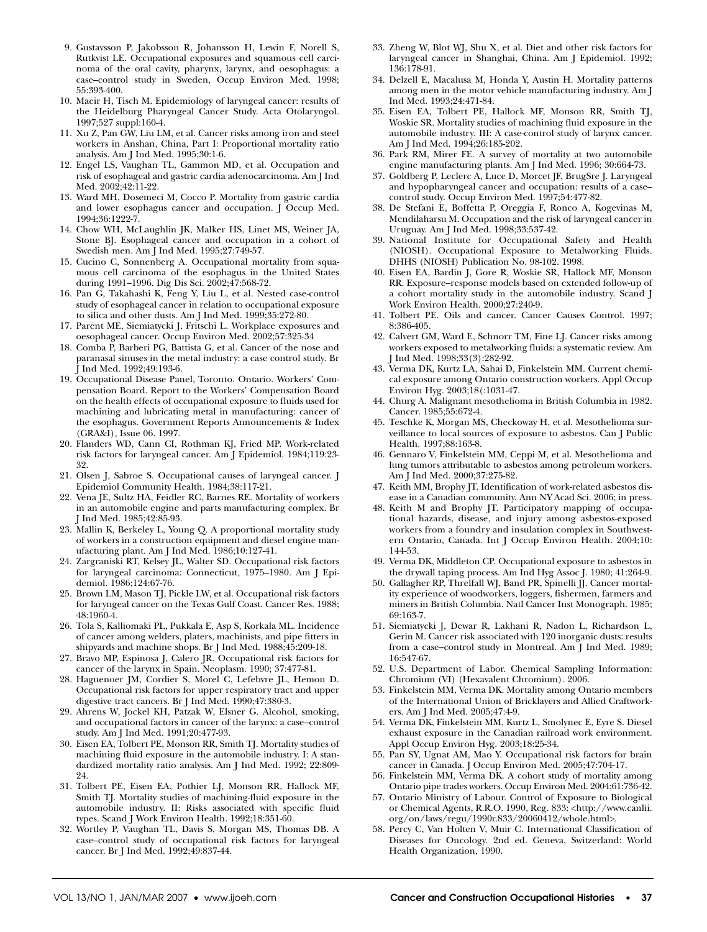- 9. Gustavsson P, Jakobsson R, Johansson H, Lewin F, Norell S, Rutkvist LE. Occupational exposures and squamous cell carcinoma of the oral cavity, pharynx, larynx, and oesophagus: a case–control study in Sweden, Occup Environ Med. 1998; 55:393-400.
- 10. Maeir H, Tisch M. Epidemiology of laryngeal cancer: results of the Heidelburg Pharyngeal Cancer Study. Acta Otolaryngol. 1997;527 suppl:160-4.
- 11. Xu Z, Pan GW, Liu LM, et al. Cancer risks among iron and steel workers in Anshan, China, Part I: Proportional mortality ratio analysis. Am J Ind Med. 1995;30:1-6.
- 12. Engel LS, Vaughan TL, Gammon MD, et al. Occupation and risk of esophageal and gastric cardia adenocarcinoma. Am J Ind Med. 2002;42:11-22.
- 13. Ward MH, Dosemeci M, Cocco P. Mortality from gastric cardia and lower esophagus cancer and occupation. J Occup Med. 1994;36:1222-7.
- 14. Chow WH, McLaughlin JK, Malker HS, Linet MS, Weiner JA, Stone BJ. Esophageal cancer and occupation in a cohort of Swedish men. Am J Ind Med. 1995;27:749-57.
- 15. Cucino C, Sonnenberg A. Occupational mortality from squamous cell carcinoma of the esophagus in the United States during 1991–1996. Dig Dis Sci. 2002;47:568-72.
- 16. Pan G, Takahashi K, Feng Y, Liu L, et al. Nested case-control study of esophageal cancer in relation to occupational exposure to silica and other dusts. Am J Ind Med. 1999;35:272-80.
- 17. Parent ME, Siemiatycki J, Fritschi L. Workplace exposures and oesophageal cancer. Occup Environ Med. 2002;57:325-34
- 18. Comba P, Barberi PG, Battista G, et al. Cancer of the nose and paranasal sinuses in the metal industry: a case control study. Br J Ind Med. 1992;49:193-6.
- 19. Occupational Disease Panel, Toronto. Ontario. Workers' Compensation Board. Report to the Workers' Compensation Board on the health effects of occupational exposure to fluids used for machining and lubricating metal in manufacturing: cancer of the esophagus. Government Reports Announcements & Index (GRA&I), Issue 06. 1997.
- 20. Flanders WD, Cann CI, Rothman KJ, Fried MP. Work-related risk factors for laryngeal cancer. Am J Epidemiol. 1984;119:23- 32.
- 21. Olsen J, Sabroe S. Occupational causes of laryngeal cancer. J Epidemiol Community Health. 1984;38:117-21.
- 22. Vena JE, Sultz HA, Feidler RC, Barnes RE. Mortality of workers in an automobile engine and parts manufacturing complex. Br J Ind Med. 1985;42:85-93.
- 23. Mallin K, Berkeley L, Young Q. A proportional mortality study of workers in a construction equipment and diesel engine manufacturing plant. Am J Ind Med. 1986;10:127-41.
- 24. Zargraniski RT, Kelsey JL, Walter SD. Occupational risk factors for laryngeal carcinoma: Connecticut, 1975–1980. Am J Epidemiol. 1986;124:67-76.
- 25. Brown LM, Mason TJ, Pickle LW, et al. Occupational risk factors for laryngeal cancer on the Texas Gulf Coast. Cancer Res. 1988; 48:1960-4.
- 26. Tola S, Kalliomaki PL, Pukkala E, Asp S, Korkala ML. Incidence of cancer among welders, platers, machinists, and pipe fitters in shipyards and machine shops. Br J Ind Med. 1988;45:209-18.
- 27. Bravo MP, Espinosa J, Calero JR. Occupational risk factors for cancer of the larynx in Spain. Neoplasm. 1990; 37:477-81.
- 28. Haguenoer JM, Cordier S, Morel C, Lefebvre JL, Hemon D. Occupational risk factors for upper respiratory tract and upper digestive tract cancers. Br J Ind Med. 1990;47:380-3.
- 29. Ahrens W, Jockel KH, Patzak W, Elsner G. Alcohol, smoking, and occupational factors in cancer of the larynx: a case–control study. Am J Ind Med. 1991;20:477-93.
- 30. Eisen EA, Tolbert PE, Monson RR, Smith TJ. Mortality studies of machining fluid exposure in the automobile industry. I: A standardized mortality ratio analysis. Am J Ind Med. 1992; 22:809- 24.
- 31. Tolbert PE, Eisen EA, Pothier LJ, Monson RR, Hallock MF, Smith TJ. Mortality studies of machining-fluid exposure in the automobile industry. II: Risks associated with specific fluid types. Scand J Work Environ Health. 1992;18:351-60.
- 32. Wortley P, Vaughan TL, Davis S, Morgan MS, Thomas DB. A case–control study of occupational risk factors for laryngeal cancer. Br J Ind Med. 1992;49:837-44.
- 33. Zheng W, Blot WJ, Shu X, et al. Diet and other risk factors for laryngeal cancer in Shanghai, China. Am J Epidemiol. 1992; 136:178-91.
- 34. Delzell E, Macalusa M, Honda Y, Austin H. Mortality patterns among men in the motor vehicle manufacturing industry. Am J Ind Med. 1993;24:471-84.
- 35. Eisen EA, Tolbert PE, Hallock MF, Monson RR, Smith TJ, Woskie SR. Mortality studies of machining fluid exposure in the automobile industry. III: A case-control study of larynx cancer. Am J Ind Med. 1994;26:185-202.
- 36. Park RM, Mirer FE. A survey of mortality at two automobile engine manufacturing plants. Am J Ind Med. 1996; 30:664-73.
- 37. Goldberg P, Leclerc A, Luce D, Morcet JF, BrugSre J. Laryngeal and hypopharyngeal cancer and occupation: results of a case– control study. Occup Environ Med. 1997;54:477-82.
- 38. De Stefani E, Boffetta P, Oreggia F, Ronco A, Kogevinas M, Mendilaharsu M. Occupation and the risk of laryngeal cancer in Uruguay. Am J Ind Med. 1998;33:537-42.
- 39. National Institute for Occupational Safety and Health (NIOSH). Occupational Exposure to Metalworking Fluids. DHHS (NIOSH) Publication No. 98-102. 1998.
- 40. Eisen EA, Bardin J, Gore R, Woskie SR, Hallock MF, Monson RR. Exposure–response models based on extended follow-up of a cohort mortality study in the automobile industry. Scand J Work Environ Health. 2000;27:240-9.
- 41. Tolbert PE. Oils and cancer. Cancer Causes Control. 1997; 8:386-405.
- 42. Calvert GM, Ward E, Schnorr TM, Fine LJ. Cancer risks among workers exposed to metalworking fluids: a systematic review. Am J Ind Med. 1998;33(3):282-92.
- 43. Verma DK, Kurtz LA, Sahai D, Finkelstein MM. Current chemical exposure among Ontario construction workers. Appl Occup Environ Hyg. 2003;18(:1031-47.
- 44. Churg A. Malignant mesothelioma in British Columbia in 1982. Cancer. 1985;55:672-4.
- 45. Teschke K, Morgan MS, Checkoway H, et al. Mesothelioma surveillance to local sources of exposure to asbestos. Can J Public Health. 1997;88:163-8.
- 46. Gennaro V, Finkelstein MM, Ceppi M, et al. Mesothelioma and lung tumors attributable to asbestos among petroleum workers. Am J Ind Med. 2000;37:275-82.
- 47. Keith MM, Brophy JT. Identification of work-related asbestos disease in a Canadian community. Ann NY Acad Sci. 2006; in press.
- 48. Keith M and Brophy JT. Participatory mapping of occupational hazards, disease, and injury among asbestos-exposed workers from a foundry and insulation complex in Southwestern Ontario, Canada. Int J Occup Environ Health. 2004;10: 144-53.
- 49. Verma DK, Middleton CP. Occupational exposure to asbestos in the drywall taping process. Am Ind Hyg Assoc J. 1980; 41:264-9.
- 50. Gallagher RP, Threlfall WJ, Band PR, Spinelli JJ. Cancer mortality experience of woodworkers, loggers, fishermen, farmers and miners in British Columbia. Natl Cancer Inst Monograph. 1985; 69:163-7.
- 51. Siemiatycki J, Dewar R, Lakhani R, Nadon L, Richardson L, Gerin M. Cancer risk associated with 120 inorganic dusts: results from a case–control study in Montreal. Am J Ind Med. 1989; 16:547-67.
- 52. U.S. Department of Labor. Chemical Sampling Information: Chromium (VI) (Hexavalent Chromium). 2006.
- 53. Finkelstein MM, Verma DK. Mortality among Ontario members of the International Union of Bricklayers and Allied Craftworkers. Am J Ind Med. 2005;47:4-9.
- 54. Verma DK, Finkelstein MM, Kurtz L, Smolynec E, Eyre S. Diesel exhaust exposure in the Canadian railroad work environment. Appl Occup Environ Hyg. 2003;18:25-34.
- 55. Pan SY, Ugnat AM, Mao Y. Occupational risk factors for brain cancer in Canada. J Occup Environ Med. 2005;47:704-17.
- 56. Finkelstein MM, Verma DK. A cohort study of mortality among Ontario pipe trades workers. Occup Environ Med. 2004;61:736-42.
- 57. Ontario Ministry of Labour. Control of Exposure to Biological or Chemical Agents, R.R.O. 1990, Reg. 833: <http://www.canlii. org/on/laws/regu/1990r.833/20060412/whole.html>.
- 58. Percy C, Van Holten V, Muir C. International Classification of Diseases for Oncology. 2nd ed. Geneva, Switzerland: World Health Organization, 1990.